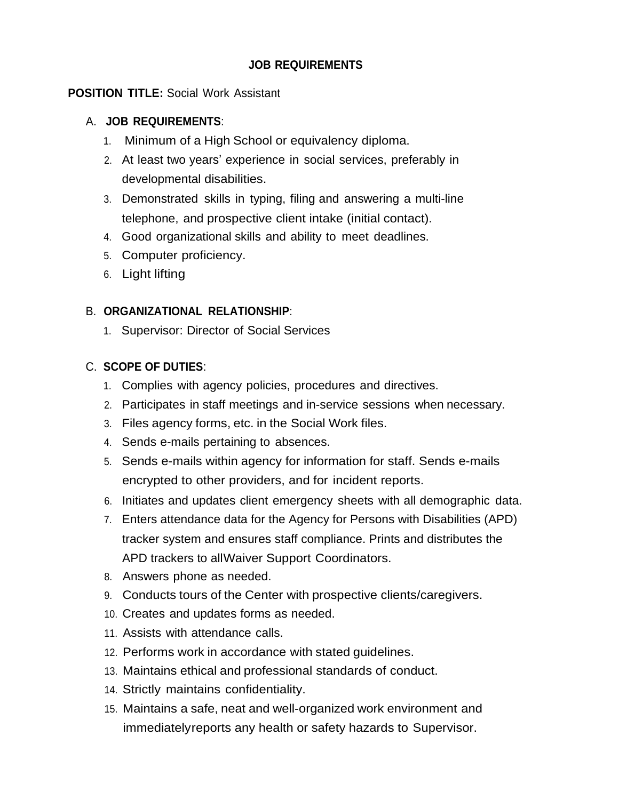# **JOB REQUIREMENTS**

# **POSITION TITLE:** Social Work Assistant

### A. **JOB REQUIREMENTS**:

- 1. Minimum of a High School or equivalency diploma.
- 2. At least two years' experience in social services, preferably in developmental disabilities.
- 3. Demonstrated skills in typing, filing and answering a multi-line telephone, and prospective client intake (initial contact).
- 4. Good organizational skills and ability to meet deadlines.
- 5. Computer proficiency.
- 6. Light lifting

# B. **ORGANIZATIONAL RELATIONSHIP**:

1. Supervisor: Director of Social Services

# C. **SCOPE OF DUTIES**:

- 1. Complies with agency policies, procedures and directives.
- 2. Participates in staff meetings and in-service sessions when necessary.
- 3. Files agency forms, etc. in the Social Work files.
- 4. Sends e-mails pertaining to absences.
- 5. Sends e-mails within agency for information for staff. Sends e-mails encrypted to other providers, and for incident reports.
- 6. Initiates and updates client emergency sheets with all demographic data.
- 7. Enters attendance data for the Agency for Persons with Disabilities (APD) tracker system and ensures staff compliance. Prints and distributes the APD trackers to allWaiver Support Coordinators.
- 8. Answers phone as needed.
- 9. Conducts tours of the Center with prospective clients/caregivers.
- 10. Creates and updates forms as needed.
- 11. Assists with attendance calls.
- 12. Performs work in accordance with stated guidelines.
- 13. Maintains ethical and professional standards of conduct.
- 14. Strictly maintains confidentiality.
- 15. Maintains a safe, neat and well-organized work environment and immediatelyreports any health or safety hazards to Supervisor.